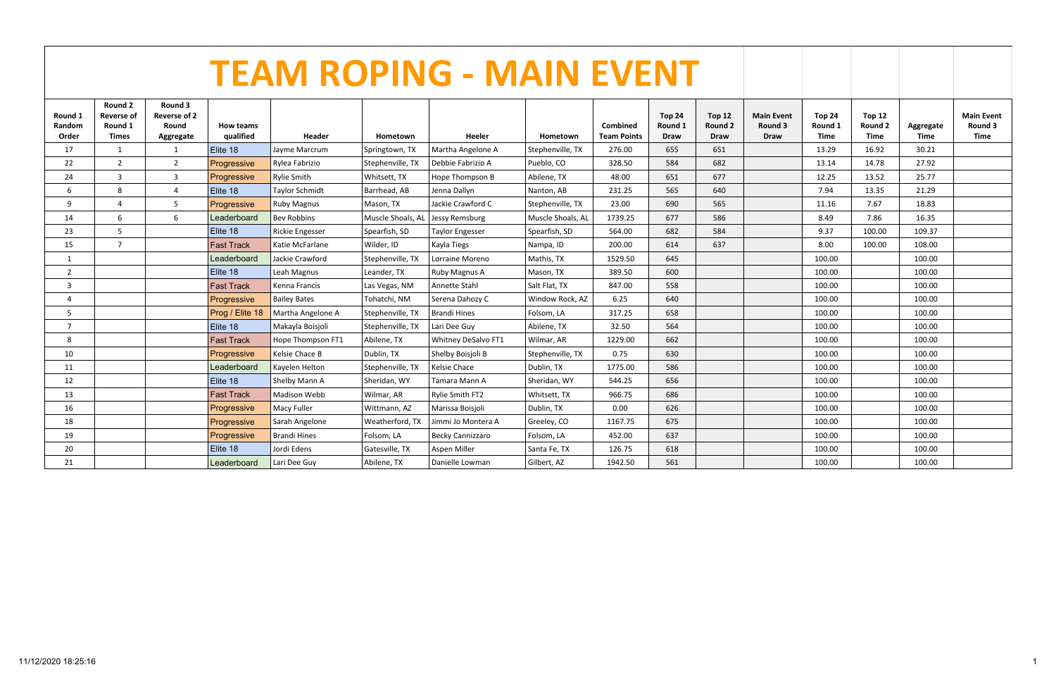|                            | <b>TEAM ROPING - MAIN EVENT</b>                  |                                                      |                                    |                        |                   |                        |                   |                                |                                  |                                         |                                             |                           |                                         |                   |                                             |
|----------------------------|--------------------------------------------------|------------------------------------------------------|------------------------------------|------------------------|-------------------|------------------------|-------------------|--------------------------------|----------------------------------|-----------------------------------------|---------------------------------------------|---------------------------|-----------------------------------------|-------------------|---------------------------------------------|
| Round 1<br>Random<br>Order | Round 2<br><b>Reverse of</b><br>Round 1<br>Times | Round 3<br><b>Reverse of 2</b><br>Round<br>Aggregate | <b>How teams</b><br>qualified      | Header                 | Hometown          | Heeler                 | Hometown          | Combined<br><b>Team Points</b> | Top 24<br>Round 1<br><b>Draw</b> | <b>Top 12</b><br>Round 2<br><b>Draw</b> | <b>Main Event</b><br>Round 3<br><b>Draw</b> | Top 24<br>Round 1<br>Time | <b>Top 12</b><br>Round 2<br><b>Time</b> | Aggregate<br>Time | <b>Main Event</b><br>Round 3<br><b>Time</b> |
| 17                         | 1                                                | 1                                                    | Elite 18                           | Jayme Marcrum          | Springtown, TX    | Martha Angelone A      | Stephenville, TX  | 276.00                         | 655                              | 651                                     |                                             | 13.29                     | 16.92                                   | 30.21             |                                             |
| 22                         | $\overline{2}$                                   | $\overline{2}$                                       | Progressive                        | Rylea Fabrizio         | Stephenville, TX  | Debbie Fabrizio A      | Pueblo, CO        | 328.50                         | 584                              | 682                                     |                                             | 13.14                     | 14.78                                   | 27.92             |                                             |
| 24                         | 3                                                | $\overline{3}$                                       | Progressive                        | <b>Rylie Smith</b>     | Whitsett, TX      | Hope Thompson B        | Abilene, TX       | 48.00                          | 651                              | 677                                     |                                             | 12.25                     | 13.52                                   | 25.77             |                                             |
| 6                          | $\mathsf{\mathsf{R}}$                            | $\overline{4}$                                       | Elite 18                           | <b>Taylor Schmidt</b>  | Barrhead, AB      | Jenna Dallyn           | Nanton, AB        | 231.25                         | 565                              | 640                                     |                                             | 7.94                      | 13.35                                   | 21.29             |                                             |
| 9                          | $\overline{a}$                                   | 5                                                    | Progressive                        | <b>Ruby Magnus</b>     | Mason, TX         | Jackie Crawford C      | Stephenville, TX  | 23.00                          | 690                              | 565                                     |                                             | 11.16                     | 7.67                                    | 18.83             |                                             |
| 14                         | 6                                                | 6                                                    | Leaderboard                        | <b>Bev Robbins</b>     | Muscle Shoals, AL | Jessy Remsburg         | Muscle Shoals, AL | 1739.25                        | 677                              | 586                                     |                                             | 8.49                      | 7.86                                    | 16.35             |                                             |
| 23                         | 5                                                |                                                      | Elite 18                           | <b>Rickie Engesser</b> | Spearfish, SD     | <b>Taylor Engesser</b> | Spearfish, SD     | 564.00                         | 682                              | 584                                     |                                             | 9.37                      | 100.00                                  | 109.37            |                                             |
| 15                         | $\overline{7}$                                   |                                                      | Fast Track                         | Katie McFarlane        | Wilder, ID        | Kayla Tiegs            | Nampa, ID         | 200.00                         | 614                              | 637                                     |                                             | 8.00                      | 100.00                                  | 108.00            |                                             |
| 1                          |                                                  |                                                      | Leaderboard                        | Jackie Crawford        | Stephenville, TX  | Lorraine Moreno        | Mathis, TX        | 1529.50                        | 645                              |                                         |                                             | 100.00                    |                                         | 100.00            |                                             |
| $\overline{2}$             |                                                  |                                                      | Elite 18                           | Leah Magnus            | Leander, TX       | Ruby Magnus A          | Mason, TX         | 389.50                         | 600                              |                                         |                                             | 100.00                    |                                         | 100.00            |                                             |
| $\overline{\mathbf{3}}$    |                                                  |                                                      | <b>Fast Track</b><br>Kenna Francis |                        | Las Vegas, NM     | Annette Stahl          | Salt Flat, TX     | 847.00                         | 558                              |                                         |                                             | 100.00                    |                                         | 100.00            |                                             |
| $\overline{4}$             |                                                  |                                                      | Progressive                        | <b>Bailey Bates</b>    | Tohatchi, NM      | Serena Dahozy C        | Window Rock, AZ   | 6.25                           | 640                              |                                         |                                             | 100.00                    |                                         | 100.00            |                                             |
| 5                          |                                                  |                                                      | Prog / Elite 18                    | Martha Angelone A      | Stephenville, TX  | <b>Brandi Hines</b>    | Folsom, LA        | 317.25                         | 658                              |                                         |                                             | 100.00                    |                                         | 100.00            |                                             |
| $\overline{7}$             |                                                  |                                                      | Elite 18                           | Makayla Boisjoli       | Stephenville, TX  | Lari Dee Guy           | Abilene, TX       | 32.50                          | 564                              |                                         |                                             | 100.00                    |                                         | 100.00            |                                             |
| 8                          |                                                  |                                                      | <b>Fast Track</b>                  | Hope Thompson FT1      | Abilene, TX       | Whitney DeSalvo FT1    | Wilmar, AR        | 1229.00                        | 662                              |                                         |                                             | 100.00                    |                                         | 100.00            |                                             |
| 10                         |                                                  |                                                      | Progressive                        | Kelsie Chace B         | Dublin, TX        | Shelby Boisjoli B      | Stephenville, TX  | 0.75                           | 630                              |                                         |                                             | 100.00                    |                                         | 100.00            |                                             |
| 11                         |                                                  |                                                      | Leaderboard                        | Kayelen Helton         | Stephenville, TX  | Kelsie Chace           | Dublin, TX        | 1775.00                        | 586                              |                                         |                                             | 100.00                    |                                         | 100.00            |                                             |
| 12                         |                                                  |                                                      | Elite 18                           | Shelby Mann A          | Sheridan, WY      | Tamara Mann A          | Sheridan, WY      | 544.25                         | 656                              |                                         |                                             | 100.00                    |                                         | 100.00            |                                             |
| 13                         |                                                  |                                                      | <b>Fast Track</b>                  | <b>Madison Webb</b>    | Wilmar, AR        | Rylie Smith FT2        | Whitsett, TX      | 966.75                         | 686                              |                                         |                                             | 100.00                    |                                         | 100.00            |                                             |
| 16                         |                                                  |                                                      | Progressive                        | Macy Fuller            | Wittmann, AZ      | Marissa Boisjoli       | Dublin, TX        | 0.00                           | 626                              |                                         |                                             | 100.00                    |                                         | 100.00            |                                             |
| 18                         |                                                  |                                                      | Progressive                        | Sarah Angelone         | Weatherford, TX   | Jimmi Jo Montera A     | Greeley, CO       | 1167.75                        | 675                              |                                         |                                             | 100.00                    |                                         | 100.00            |                                             |
| 19                         |                                                  |                                                      | Progressive                        | <b>Brandi Hines</b>    | Folsom, LA        | Becky Cannizzaro       | Folsom, LA        | 452.00                         | 637                              |                                         |                                             | 100.00                    |                                         | 100.00            |                                             |
| 20                         |                                                  |                                                      | Elite 18                           | Jordi Edens            | Gatesville, TX    | Aspen Miller           | Santa Fe, TX      | 126.75                         | 618                              |                                         |                                             | 100.00                    |                                         | 100.00            |                                             |
| 21                         |                                                  |                                                      | Leaderboard                        | Lari Dee Guy           | Abilene, TX       | Danielle Lowman        | Gilbert, AZ       | 1942.50                        | 561                              |                                         |                                             | 100.00                    |                                         | 100.00            |                                             |